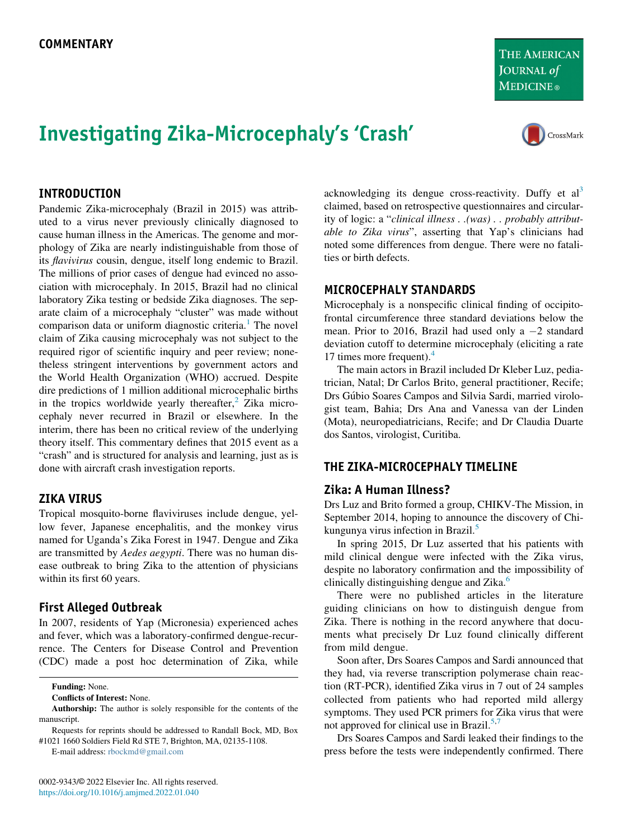# Investigating Zika-Microcephaly's 'Crash'

acknowledging its dengue cross-reactivity. Duffy et  $al<sup>3</sup>$  $al<sup>3</sup>$  $al<sup>3</sup>$ claimed, based on retrospective questionnaires and circularity of logic: a "clinical illness . .(was) . . probably attributable to Zika virus", asserting that Yap's clinicians had noted some differences from dengue. There were no fatalities or birth defects.

## MICROCEPHALY STANDARDS

Microcephaly is a nonspecific clinical finding of occipitofrontal circumference three standard deviations below the mean. Prior to 2016, Brazil had used only a  $-2$  standard deviation cutoff to determine microcephaly (eliciting a rate 17 times more frequent). $4$ 

The main actors in Brazil included Dr Kleber Luz, pediatrician, Natal; Dr Carlos Brito, general practitioner, Recife; Drs Gúbio Soares Campos and Silvia Sardi, married virologist team, Bahia; Drs Ana and Vanessa van der Linden (Mota), neuropediatricians, Recife; and Dr Claudia Duarte dos Santos, virologist, Curitiba.

# THE ZIKA-MICROCEPHALY TIMELINE

# Zika: A Human Illness?

Drs Luz and Brito formed a group, CHIKV-The Mission, in September 2014, hoping to announce the discovery of Chikungunya virus infection in Brazil.[5](#page-2-4)

In spring 2015, Dr Luz asserted that his patients with mild clinical dengue were infected with the Zika virus, despite no laboratory confirmation and the impossibility of clinically distinguishing dengue and Zika.<sup>6</sup>

There were no published articles in the literature guiding clinicians on how to distinguish dengue from Zika. There is nothing in the record anywhere that documents what precisely Dr Luz found clinically different from mild dengue.

Soon after, Drs Soares Campos and Sardi announced that they had, via reverse transcription polymerase chain reaction (RT-PCR), identified Zika virus in 7 out of 24 samples collected from patients who had reported mild allergy symptoms. They used PCR primers for Zika virus that were not approved for clinical use in Brazil.<sup>[5](#page-2-4)[,7](#page-2-6)</sup>

Drs Soares Campos and Sardi leaked their findings to the press before the tests were independently confirmed. There

# INTRODUCTION

Pandemic Zika-microcephaly (Brazil in 2015) was attributed to a virus never previously clinically diagnosed to cause human illness in the Americas. The genome and morphology of Zika are nearly indistinguishable from those of its flavivirus cousin, dengue, itself long endemic to Brazil. The millions of prior cases of dengue had evinced no association with microcephaly. In 2015, Brazil had no clinical laboratory Zika testing or bedside Zika diagnoses. The separate claim of a microcephaly "cluster" was made without comparison data or uniform diagnostic criteria.<sup>[1](#page-2-0)</sup> The novel claim of Zika causing microcephaly was not subject to the required rigor of scientific inquiry and peer review; nonetheless stringent interventions by government actors and the World Health Organization (WHO) accrued. Despite dire predictions of 1 million additional microcephalic births in the tropics worldwide yearly thereafter, $\frac{2}{3}$  $\frac{2}{3}$  $\frac{2}{3}$  Zika microcephaly never recurred in Brazil or elsewhere. In the interim, there has been no critical review of the underlying theory itself. This commentary defines that 2015 event as a "crash" and is structured for analysis and learning, just as is done with aircraft crash investigation reports.

## ZIKA VIRUS

Tropical mosquito-borne flaviviruses include dengue, yellow fever, Japanese encephalitis, and the monkey virus named for Uganda's Zika Forest in 1947. Dengue and Zika are transmitted by Aedes aegypti. There was no human disease outbreak to bring Zika to the attention of physicians within its first 60 years.

# First Alleged Outbreak

In 2007, residents of Yap (Micronesia) experienced aches and fever, which was a laboratory-confirmed dengue-recurrence. The Centers for Disease Control and Prevention (CDC) made a post hoc determination of Zika, while

Funding: None.

Conflicts of Interest: None.

Requests for reprints should be addressed to Randall Bock, MD, Box #1021 1660 Soldiers Field Rd STE 7, Brighton, MA, 02135-1108.

E-mail address: [rbockmd@gmail.com](mailto:rbockmd@gmail.com)



Authorship: The author is solely responsible for the contents of the manuscript.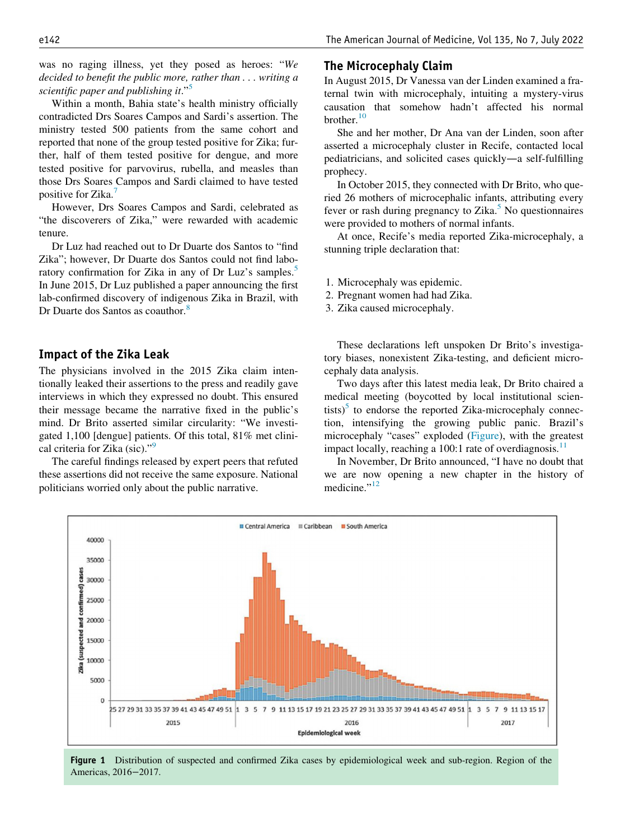was no raging illness, yet they posed as heroes: "We decided to benefit the public more, rather than . . . writing a scientific paper and publishing it."<sup>[5](#page-2-4)</sup>

Within a month, Bahia state's health ministry officially contradicted Drs Soares Campos and Sardi's assertion. The ministry tested 500 patients from the same cohort and reported that none of the group tested positive for Zika; further, half of them tested positive for dengue, and more tested positive for parvovirus, rubella, and measles than those Drs Soares Campos and Sardi claimed to have tested positive for Zika.<sup>[7](#page-3-0)</sup>

However, Drs Soares Campos and Sardi, celebrated as "the discoverers of Zika," were rewarded with academic tenure.

Dr Luz had reached out to Dr Duarte dos Santos to "find Zika"; however, Dr Duarte dos Santos could not find labo-ratory confirmation for Zika in any of Dr Luz's samples.<sup>[5](#page-2-4)</sup> In June 2015, Dr Luz published a paper announcing the first lab-confirmed discovery of indigenous Zika in Brazil, with Dr Duarte dos Santos as coauthor.<sup>[8](#page-2-7)</sup>

#### Impact of the Zika Leak

The physicians involved in the 2015 Zika claim intentionally leaked their assertions to the press and readily gave interviews in which they expressed no doubt. This ensured their message became the narrative fixed in the public's mind. Dr Brito asserted similar circularity: "We investigated 1,100 [dengue] patients. Of this total, 81% met clinical criteria for Zika (sic).["9](#page-2-8)

<span id="page-1-0"></span>The careful findings released by expert peers that refuted these assertions did not receive the same exposure. National politicians worried only about the public narrative.

# The Microcephaly Claim

In August 2015, Dr Vanessa van der Linden examined a fraternal twin with microcephaly, intuiting a mystery-virus causation that somehow hadn't affected his normal brother.<sup>[10](#page-3-1)</sup>

She and her mother, Dr Ana van der Linden, soon after asserted a microcephaly cluster in Recife, contacted local pediatricians, and solicited cases quickly—a self-fulfilling prophecy.

In October 2015, they connected with Dr Brito, who queried 26 mothers of microcephalic infants, attributing every fever or rash during pregnancy to Zika. $5$  No questionnaires were provided to mothers of normal infants.

At once, Recife's media reported Zika-microcephaly, a stunning triple declaration that:

- 1. Microcephaly was epidemic.
- 2. Pregnant women had had Zika.
- 3. Zika caused microcephaly.

These declarations left unspoken Dr Brito's investigatory biases, nonexistent Zika-testing, and deficient microcephaly data analysis.

Two days after this latest media leak, Dr Brito chaired a medical meeting (boycotted by local institutional scientists) $5$  to endorse the reported Zika-microcephaly connection, intensifying the growing public panic. Brazil's microcephaly "cases" exploded [\(Figure](#page-1-0)), with the greatest impact locally, reaching a 100:1 rate of overdiagnosis.<sup>[11](#page-3-2)</sup>

In November, Dr Brito announced, "I have no doubt that we are now opening a new chapter in the history of medicine."<sup>[12](#page-3-3)</sup>



Figure 1 Distribution of suspected and confirmed Zika cases by epidemiological week and sub-region. Region of the Americas, 2016−2017.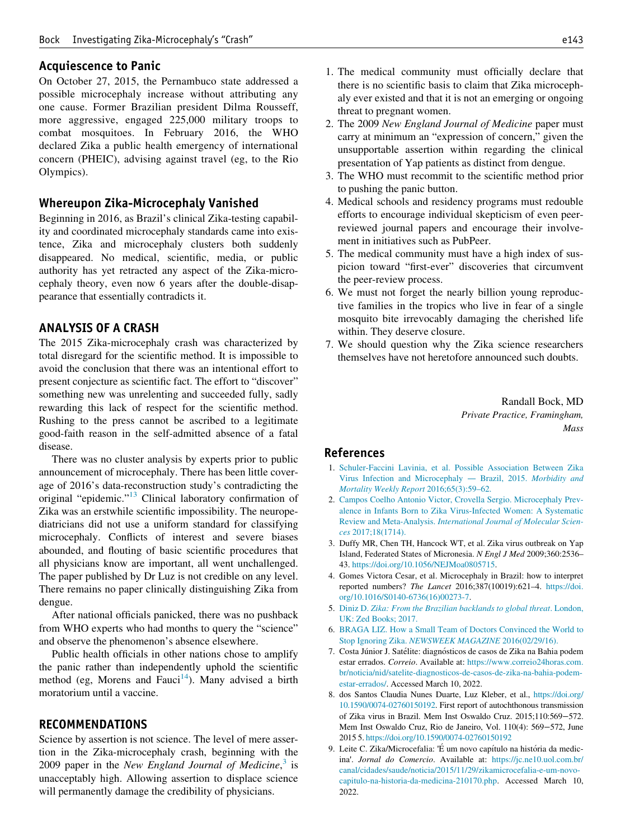### Acquiescence to Panic

On October 27, 2015, the Pernambuco state addressed a possible microcephaly increase without attributing any one cause. Former Brazilian president Dilma Rousseff, more aggressive, engaged 225,000 military troops to combat mosquitoes. In February 2016, the WHO declared Zika a public health emergency of international concern (PHEIC), advising against travel (eg, to the Rio Olympics).

#### Whereupon Zika-Microcephaly Vanished

Beginning in 2016, as Brazil's clinical Zika-testing capability and coordinated microcephaly standards came into existence, Zika and microcephaly clusters both suddenly disappeared. No medical, scientific, media, or public authority has yet retracted any aspect of the Zika-microcephaly theory, even now 6 years after the double-disappearance that essentially contradicts it.

#### ANALYSIS OF A CRASH

The 2015 Zika-microcephaly crash was characterized by total disregard for the scientific method. It is impossible to avoid the conclusion that there was an intentional effort to present conjecture as scientific fact. The effort to "discover" something new was unrelenting and succeeded fully, sadly rewarding this lack of respect for the scientific method. Rushing to the press cannot be ascribed to a legitimate good-faith reason in the self-admitted absence of a fatal disease.

<span id="page-2-1"></span><span id="page-2-0"></span>There was no cluster analysis by experts prior to public announcement of microcephaly. There has been little coverage of 2016's data-reconstruction study's contradicting the original "epidemic."[13](#page-3-4) Clinical laboratory confirmation of Zika was an erstwhile scientific impossibility. The neuropediatricians did not use a uniform standard for classifying microcephaly. Conflicts of interest and severe biases abounded, and flouting of basic scientific procedures that all physicians know are important, all went unchallenged. The paper published by Dr Luz is not credible on any level. There remains no paper clinically distinguishing Zika from dengue.

<span id="page-2-5"></span><span id="page-2-4"></span><span id="page-2-3"></span><span id="page-2-2"></span>After national officials panicked, there was no pushback from WHO experts who had months to query the "science" and observe the phenomenon's absence elsewhere.

<span id="page-2-6"></span>Public health officials in other nations chose to amplify the panic rather than independently uphold the scientific method (eg, Morens and Fauci<sup>14</sup>). Many advised a birth moratorium until a vaccine.

#### <span id="page-2-7"></span>RECOMMENDATIONS

<span id="page-2-8"></span>Science by assertion is not science. The level of mere assertion in the Zika-microcephaly crash, beginning with the 2009 paper in the New England Journal of Medicine, $3$  is unacceptably high. Allowing assertion to displace science will permanently damage the credibility of physicians.

- 1. The medical community must officially declare that there is no scientific basis to claim that Zika microcephaly ever existed and that it is not an emerging or ongoing threat to pregnant women.
- 2. The 2009 New England Journal of Medicine paper must carry at minimum an "expression of concern," given the unsupportable assertion within regarding the clinical presentation of Yap patients as distinct from dengue.
- 3. The WHO must recommit to the scientific method prior to pushing the panic button.
- 4. Medical schools and residency programs must redouble efforts to encourage individual skepticism of even peerreviewed journal papers and encourage their involvement in initiatives such as PubPeer.
- 5. The medical community must have a high index of suspicion toward "first-ever" discoveries that circumvent the peer-review process.
- 6. We must not forget the nearly billion young reproductive families in the tropics who live in fear of a single mosquito bite irrevocably damaging the cherished life within. They deserve closure.
- 7. We should question why the Zika science researchers themselves have not heretofore announced such doubts.

Randall Bock, MD Private Practice, Framingham, **Mass** 

#### References

- 1. [Schuler-Faccini Lavinia, et al. Possible Association Between Zika](http://refhub.elsevier.com/S0002-9343(22)00108-5/optTPu0H64aEE) [Virus Infection and Microcephaly](http://refhub.elsevier.com/S0002-9343(22)00108-5/optTPu0H64aEE) — Brazil, 2015. Morbidity and [Mortality Weekly Report](http://refhub.elsevier.com/S0002-9343(22)00108-5/optTPu0H64aEE) 2016;65(3):59–62.
- 2. [Campos Coelho Antonio Victor, Crovella Sergio. Microcephaly Prev](http://refhub.elsevier.com/S0002-9343(22)00108-5/optwfUrPp2wEc)[alence in Infants Born to Zika Virus-Infected Women: A Systematic](http://refhub.elsevier.com/S0002-9343(22)00108-5/optwfUrPp2wEc) Review and Meta-Analysis. [International Journal of Molecular Scien](http://refhub.elsevier.com/S0002-9343(22)00108-5/optwfUrPp2wEc)ces [2017;18\(1714\).](http://refhub.elsevier.com/S0002-9343(22)00108-5/optwfUrPp2wEc)
- 3. Duffy MR, Chen TH, Hancock WT, et al. Zika virus outbreak on Yap Island, Federated States of Micronesia. N Engl J Med 2009;360:2536– 43. https://doi.org/[10.1056/NEJMoa0805715](https://doi.org/10.1056/NEJMoa0805715).
- 4. Gomes Victora Cesar, et al. Microcephaly in Brazil: how to interpret reported numbers? The Lancet 2016;387(10019):621–4. https://doi. org/[10.1016/S0140-6736\(16\)00273-7.](https://doi.org/10.1016/S0140-6736(16)00273-7)
- 5. Diniz D. [Zika: From the Brazilian backlands to global threat](http://refhub.elsevier.com/S0002-9343(22)00108-5/sbref0002). London, [UK: Zed Books; 2017.](http://refhub.elsevier.com/S0002-9343(22)00108-5/sbref0002)
- 6. [BRAGA LIZ. How a Small Team of Doctors Convinced the World to](http://refhub.elsevier.com/S0002-9343(22)00108-5/optkBuDNH5MG0) Stop Ignoring Zika. [NEWSWEEK MAGAZINE](http://refhub.elsevier.com/S0002-9343(22)00108-5/optkBuDNH5MG0) 2016(02/29/16).
- 7. Costa Júnior J. Satélite: diagnósticos de casos de Zika na Bahia podem estar errados. Correio. Available at: [https://www.correio24horas.com.](https://www.correio24horas.com.br/noticia/nid/satelite-diagnosticos-de-casos-de-zika-na-bahia-podem-estar-errados/) [br/noticia/nid/satelite-diagnosticos-de-casos-de-zika-na-bahia-podem](https://www.correio24horas.com.br/noticia/nid/satelite-diagnosticos-de-casos-de-zika-na-bahia-podem-estar-errados/)[estar-errados/](https://www.correio24horas.com.br/noticia/nid/satelite-diagnosticos-de-casos-de-zika-na-bahia-podem-estar-errados/). Accessed March 10, 2022.
- 8. dos Santos Claudia Nunes Duarte, Luz Kleber, et al., [https://doi.org/](https://doi.org/10.1590/0074-02760150192) [10.1590/0074-02760150192](https://doi.org/10.1590/0074-02760150192). First report of autochthonous transmission of Zika virus in Brazil. Mem Inst Oswaldo Cruz. 2015;110:569−572. Mem Inst Oswaldo Cruz, Rio de Janeiro, Vol. 110(4): 569−572, June 2015 5. <https://doi.org/10.1590/0074-02760150192>
- 9. Leite C. Zika/Microcefalia: 'É um novo capítulo na história da medicina'. Jornal do Comercio. Available at: [https://jc.ne10.uol.com.br/](https://jc.ne10.uol.com.br/canal/cidades/saude/noticia/2015/11/29/zikamicrocefalia-e-um-novo-capitulo-na-historia-da-medicina-210170.php) [canal/cidades/saude/noticia/2015/11/29/zikamicrocefalia-e-um-novo](https://jc.ne10.uol.com.br/canal/cidades/saude/noticia/2015/11/29/zikamicrocefalia-e-um-novo-capitulo-na-historia-da-medicina-210170.php)[capitulo-na-historia-da-medicina-210170.php](https://jc.ne10.uol.com.br/canal/cidades/saude/noticia/2015/11/29/zikamicrocefalia-e-um-novo-capitulo-na-historia-da-medicina-210170.php). Accessed March 10, 2022.